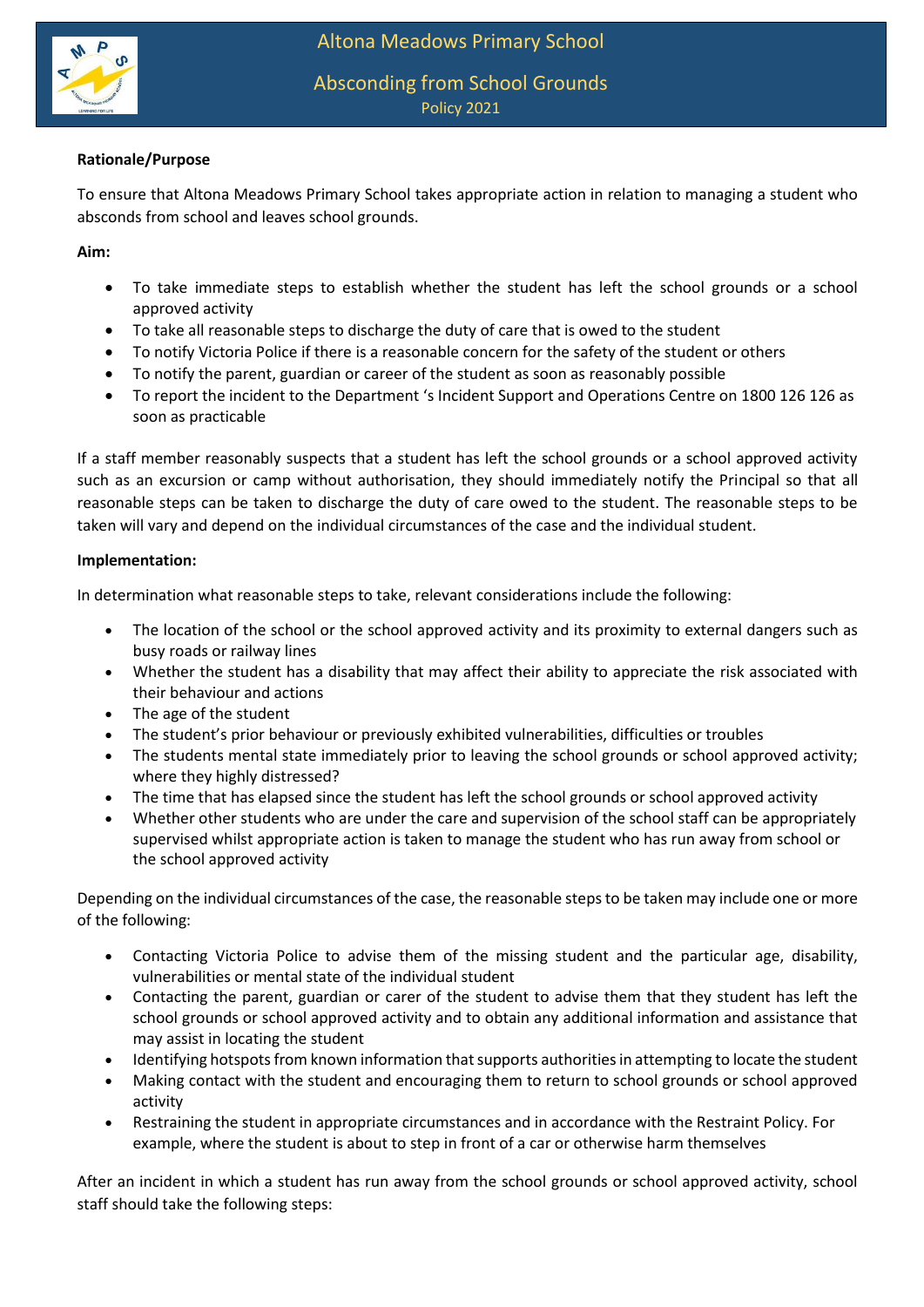

Absconding from School Grounds Policy 2021

## **Rationale/Purpose**

To ensure that Altona Meadows Primary School takes appropriate action in relation to managing a student who absconds from school and leaves school grounds.

**Aim:**

- To take immediate steps to establish whether the student has left the school grounds or a school approved activity
- To take all reasonable steps to discharge the duty of care that is owed to the student
- To notify Victoria Police if there is a reasonable concern for the safety of the student or others
- To notify the parent, guardian or career of the student as soon as reasonably possible
- To report the incident to the Department 's Incident Support and Operations Centre on 1800 126 126 as soon as practicable

If a staff member reasonably suspects that a student has left the school grounds or a school approved activity such as an excursion or camp without authorisation, they should immediately notify the Principal so that all reasonable steps can be taken to discharge the duty of care owed to the student. The reasonable steps to be taken will vary and depend on the individual circumstances of the case and the individual student.

## **Implementation:**

In determination what reasonable steps to take, relevant considerations include the following:

- The location of the school or the school approved activity and its proximity to external dangers such as busy roads or railway lines
- Whether the student has a disability that may affect their ability to appreciate the risk associated with their behaviour and actions
- The age of the student
- The student's prior behaviour or previously exhibited vulnerabilities, difficulties or troubles
- The students mental state immediately prior to leaving the school grounds or school approved activity; where they highly distressed?
- The time that has elapsed since the student has left the school grounds or school approved activity
- Whether other students who are under the care and supervision of the school staff can be appropriately supervised whilst appropriate action is taken to manage the student who has run away from school or the school approved activity

Depending on the individual circumstances of the case, the reasonable steps to be taken may include one or more of the following:

- Contacting Victoria Police to advise them of the missing student and the particular age, disability, vulnerabilities or mental state of the individual student
- Contacting the parent, guardian or carer of the student to advise them that they student has left the school grounds or school approved activity and to obtain any additional information and assistance that may assist in locating the student
- Identifying hotspots from known information that supports authorities in attempting to locate the student
- Making contact with the student and encouraging them to return to school grounds or school approved activity
- Restraining the student in appropriate circumstances and in accordance with the Restraint Policy. For example, where the student is about to step in front of a car or otherwise harm themselves

After an incident in which a student has run away from the school grounds or school approved activity, school staff should take the following steps: